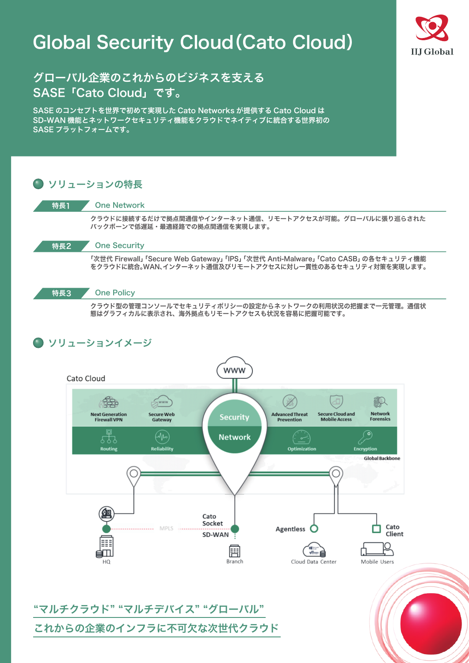# Global Security Cloud(Cato Cloud)



## グローバル企業のこれからのビジネスを支える SASE「Cato Cloud」です。

SASE のコンセプトを世界で初めて実現した Cato Networks が提供する Cato Cloud は SD-WAN 機能とネットワークセキュリティ機能をクラウドでネイティブに統合する世界初の SASE プラットフォームです。



クラウド型の管理コンソールでセキュリティポリシーの設定からネットワークの利用状況の把握まで一元管理。通信状 態はグラフィカルに表示され、海外拠点もリモートアクセスも状況を容易に把握可能です。

### ソリューションイメージ